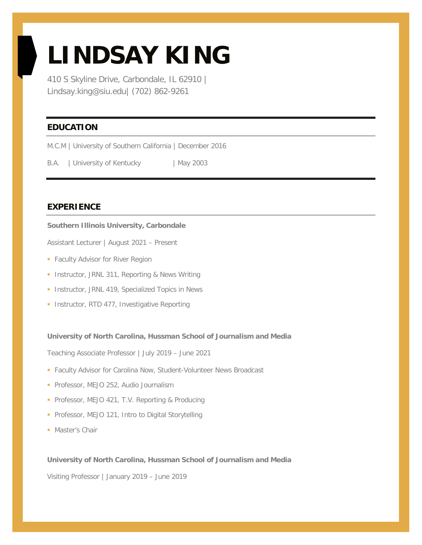# **LINDSAY KING**

410 S Skyline Drive, Carbondale, IL 62910 | Lindsay.king@siu.edu| (702) 862-9261

## **EDUCATION**

M.C.M | University of Southern California | December 2016

B.A. | University of Kentucky | May 2003

### **EXPERIENCE**

#### **Southern Illinois University, Carbondale**

Assistant Lecturer | August 2021 – Present

- **Faculty Advisor for River Region**
- **Instructor, JRNL 311, Reporting & News Writing**
- **Instructor, JRNL 419, Specialized Topics in News**
- **Instructor, RTD 477, Investigative Reporting**

#### **University of North Carolina, Hussman School of Journalism and Media**

Teaching Associate Professor | July 2019 – June 2021

- **Faculty Advisor for Carolina Now, Student-Volunteer News Broadcast**
- Professor, MEJO 252, Audio Journalism
- **Professor, MEJO 421, T.V. Reporting & Producing**
- **Professor, MEJO 121, Intro to Digital Storytelling**
- **Master's Chair**

#### **University of North Carolina, Hussman School of Journalism and Media**

Visiting Professor | January 2019 – June 2019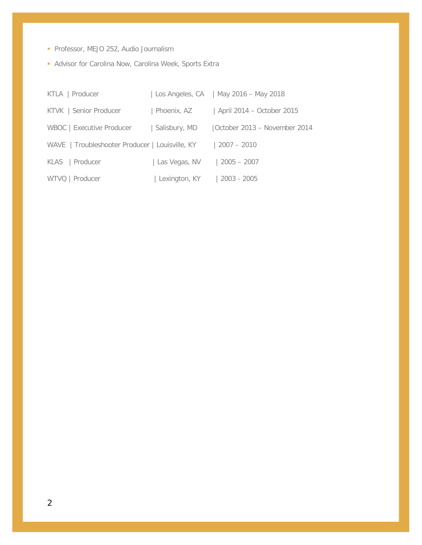- Professor, MEJO 252, Audio Journalism
- **Advisor for Carolina Now, Carolina Week, Sports Extra**

| KTLA   Producer                                 |               | Los Angeles, CA   May 2016 – May 2018 |
|-------------------------------------------------|---------------|---------------------------------------|
| KTVK   Senior Producer                          | Phoenix, AZ   | April 2014 - October 2015             |
| WBOC   Executive Producer                       | Salisbury, MD | October 2013 - November 2014          |
| WAVE   Troubleshooter Producer   Louisville, KY |               | $ 2007 - 2010$                        |
| KLAS   Producer                                 | Las Vegas, NV | $2005 - 2007$                         |
| WTVQ   Producer                                 | Lexington, KY | 2003 - 2005                           |